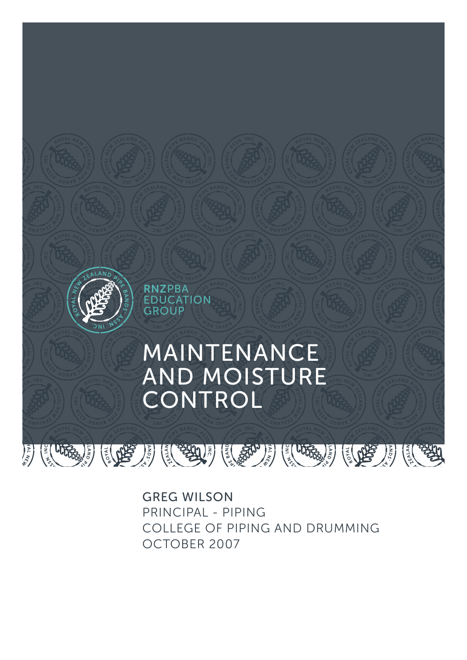

GREG WILSON PRINCIPAL - PIPING COLLEGE OF PIPING AND DRUMMING OCTOBER 2007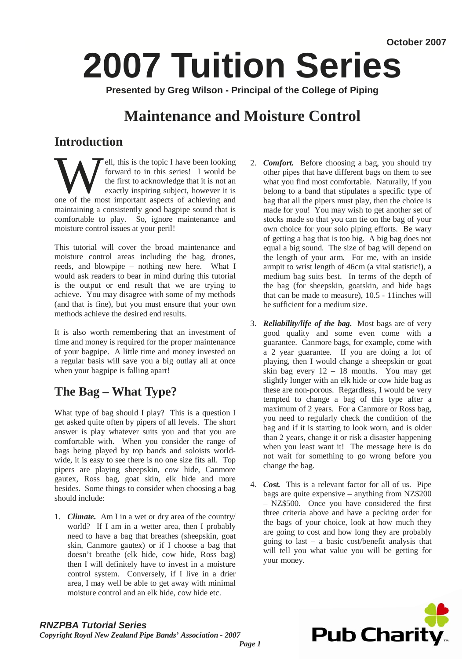# **2007 Tuition Series**

**Presented by Greg Wilson - Principal of the College of Piping** 

## **Maintenance and Moisture Control**

## **Introduction**

**Ell, this is the topic I have been looking**<br>forward to in this series! I would be<br>the first to acknowledge that it is not an<br>exactly inspiring subject, however it is<br>one of the most important aspects of achieving and forward to in this series! I would be the first to acknowledge that it is not an exactly inspiring subject, however it is maintaining a consistently good bagpipe sound that is comfortable to play. So, ignore maintenance and moisture control issues at your peril!

This tutorial will cover the broad maintenance and moisture control areas including the bag, drones, reeds, and blowpipe – nothing new here. What I would ask readers to bear in mind during this tutorial is the output or end result that we are trying to achieve. You may disagree with some of my methods (and that is fine), but you must ensure that your own methods achieve the desired end results.

It is also worth remembering that an investment of time and money is required for the proper maintenance of your bagpipe. A little time and money invested on a regular basis will save you a big outlay all at once when your bagpipe is falling apart!

## **The Bag – What Type?**

What type of bag should I play? This is a question I get asked quite often by pipers of all levels. The short answer is play whatever suits you and that you are comfortable with. When you consider the range of bags being played by top bands and soloists worldwide, it is easy to see there is no one size fits all. Top pipers are playing sheepskin, cow hide, Canmore gautex, Ross bag, goat skin, elk hide and more besides. Some things to consider when choosing a bag should include:

1. *Climate.* Am I in a wet or dry area of the country/ world? If I am in a wetter area, then I probably need to have a bag that breathes (sheepskin, goat skin, Canmore gautex) or if I choose a bag that doesn't breathe (elk hide, cow hide, Ross bag) then I will definitely have to invest in a moisture control system. Conversely, if I live in a drier area, I may well be able to get away with minimal moisture control and an elk hide, cow hide etc.

- 2. *Comfort.* Before choosing a bag, you should try other pipes that have different bags on them to see what you find most comfortable. Naturally, if you belong to a band that stipulates a specific type of bag that all the pipers must play, then the choice is made for you! You may wish to get another set of stocks made so that you can tie on the bag of your own choice for your solo piping efforts. Be wary of getting a bag that is too big. A big bag does not equal a big sound. The size of bag will depend on the length of your arm. For me, with an inside armpit to wrist length of 46cm (a vital statistic!), a medium bag suits best. In terms of the depth of the bag (for sheepskin, goatskin, and hide bags that can be made to measure), 10.5 - 11inches will be sufficient for a medium size.
- 3. *Reliability/life of the bag.* Most bags are of very good quality and some even come with a guarantee. Canmore bags, for example, come with a 2 year guarantee. If you are doing a lot of playing, then I would change a sheepskin or goat skin bag every 12 – 18 months. You may get slightly longer with an elk hide or cow hide bag as these are non-porous. Regardless, I would be very tempted to change a bag of this type after a maximum of 2 years. For a Canmore or Ross bag, you need to regularly check the condition of the bag and if it is starting to look worn, and is older than 2 years, change it or risk a disaster happening when you least want it! The message here is do not wait for something to go wrong before you change the bag.
- 4. *Cost.* This is a relevant factor for all of us. Pipe bags are quite expensive – anything from NZ\$200 – NZ\$500. Once you have considered the first three criteria above and have a pecking order for the bags of your choice, look at how much they are going to cost and how long they are probably going to last – a basic cost/benefit analysis that will tell you what value you will be getting for your money.



#### *RNZPBA Tutorial Series Copyright Royal New Zealand Pipe Bands' Association - 2007*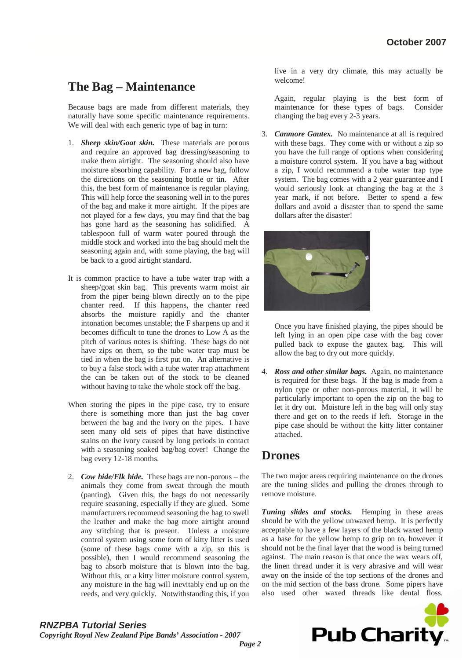## **The Bag – Maintenance**

Because bags are made from different materials, they naturally have some specific maintenance requirements. We will deal with each generic type of bag in turn:

- 1. *Sheep skin/Goat skin.* These materials are porous and require an approved bag dressing/seasoning to make them airtight. The seasoning should also have moisture absorbing capability. For a new bag, follow the directions on the seasoning bottle or tin. After this, the best form of maintenance is regular playing. This will help force the seasoning well in to the pores of the bag and make it more airtight. If the pipes are not played for a few days, you may find that the bag has gone hard as the seasoning has solidified. A tablespoon full of warm water poured through the middle stock and worked into the bag should melt the seasoning again and, with some playing, the bag will be back to a good airtight standard.
- It is common practice to have a tube water trap with a sheep/goat skin bag. This prevents warm moist air from the piper being blown directly on to the pipe chanter reed. If this happens, the chanter reed absorbs the moisture rapidly and the chanter intonation becomes unstable; the F sharpens up and it becomes difficult to tune the drones to Low A as the pitch of various notes is shifting. These bags do not have zips on them, so the tube water trap must be tied in when the bag is first put on. An alternative is to buy a false stock with a tube water trap attachment the can be taken out of the stock to be cleaned without having to take the whole stock off the bag.
- When storing the pipes in the pipe case, try to ensure there is something more than just the bag cover between the bag and the ivory on the pipes. I have seen many old sets of pipes that have distinctive stains on the ivory caused by long periods in contact with a seasoning soaked bag/bag cover! Change the bag every 12-18 months.
- 2. *Cow hide/Elk hide.* These bags are non-porous the animals they come from sweat through the mouth (panting). Given this, the bags do not necessarily require seasoning, especially if they are glued. Some manufacturers recommend seasoning the bag to swell the leather and make the bag more airtight around any stitching that is present. Unless a moisture control system using some form of kitty litter is used (some of these bags come with a zip, so this is possible), then I would recommend seasoning the bag to absorb moisture that is blown into the bag. Without this, or a kitty litter moisture control system, any moisture in the bag will inevitably end up on the reeds, and very quickly. Notwithstanding this, if you

live in a very dry climate, this may actually be welcome!

Again, regular playing is the best form of maintenance for these types of bags. Consider changing the bag every 2-3 years.

3. *Canmore Gautex.* No maintenance at all is required with these bags. They come with or without a zip so you have the full range of options when considering a moisture control system. If you have a bag without a zip, I would recommend a tube water trap type system. The bag comes with a 2 year guarantee and I would seriously look at changing the bag at the 3 year mark, if not before. Better to spend a few dollars and avoid a disaster than to spend the same dollars after the disaster!



Once you have finished playing, the pipes should be left lying in an open pipe case with the bag cover pulled back to expose the gautex bag. This will allow the bag to dry out more quickly.

4. *Ross and other similar bags.* Again, no maintenance is required for these bags. If the bag is made from a nylon type or other non-porous material, it will be particularly important to open the zip on the bag to let it dry out. Moisture left in the bag will only stay there and get on to the reeds if left. Storage in the pipe case should be without the kitty litter container attached.

## **Drones**

The two major areas requiring maintenance on the drones are the tuning slides and pulling the drones through to remove moisture.

*Tuning slides and stocks.* Hemping in these areas should be with the yellow unwaxed hemp. It is perfectly acceptable to have a few layers of the black waxed hemp as a base for the yellow hemp to grip on to, however it should not be the final layer that the wood is being turned against. The main reason is that once the wax wears off, the linen thread under it is very abrasive and will wear away on the inside of the top sections of the drones and on the mid section of the bass drone. Some pipers have also used other waxed threads like dental floss.

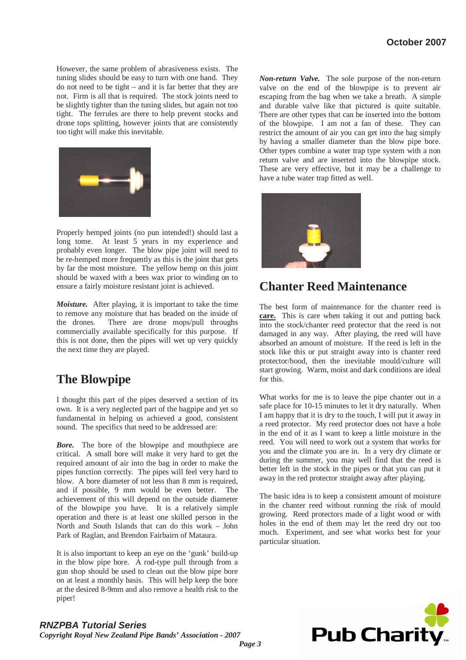However, the same problem of abrasiveness exists. The tuning slides should be easy to turn with one hand. They do not need to be tight – and it is far better that they are not. Firm is all that is required. The stock joints need to be slightly tighter than the tuning slides, but again not too tight. The ferrules are there to help prevent stocks and drone tops splitting, however joints that are consistently too tight will make this inevitable.



Properly hemped joints (no pun intended!) should last a long tome. At least 5 years in my experience and probably even longer. The blow pipe joint will need to be re-hemped more frequently as this is the joint that gets by far the most moisture. The yellow hemp on this joint should be waxed with a bees wax prior to winding on to ensure a fairly moisture resistant joint is achieved.

*Moisture.* After playing, it is important to take the time to remove any moisture that has beaded on the inside of the drones. There are drone mops/pull throughs commercially available specifically for this purpose. If this is not done, then the pipes will wet up very quickly the next time they are played.

## **The Blowpipe**

I thought this part of the pipes deserved a section of its own. It is a very neglected part of the bagpipe and yet so fundamental in helping us achieved a good, consistent sound. The specifics that need to be addressed are:

*Bore.* The bore of the blowpipe and mouthpiece are critical. A small bore will make it very hard to get the required amount of air into the bag in order to make the pipes function correctly. The pipes will feel very hard to blow. A bore diameter of not less than 8 mm is required, and if possible, 9 mm would be even better. The achievement of this will depend on the outside diameter of the blowpipe you have. It is a relatively simple operation and there is at least one skilled person in the North and South Islands that can do this work – John Park of Raglan, and Brendon Fairbairn of Mataura.

It is also important to keep an eye on the 'gunk' build-up in the blow pipe bore. A rod-type pull through from a gun shop should be used to clean out the blow pipe bore on at least a monthly basis. This will help keep the bore at the desired 8-9mm and also remove a health risk to the piper!

*Non-return Valve.* The sole purpose of the non-return valve on the end of the blowpipe is to prevent air escaping from the bag when we take a breath. A simple and durable valve like that pictured is quite suitable. There are other types that can be inserted into the bottom of the blowpipe. I am not a fan of these. They can restrict the amount of air you can get into the bag simply by having a smaller diameter than the blow pipe bore. Other types combine a water trap type system with a non return valve and are inserted into the blowpipe stock. These are very effective, but it may be a challenge to have a tube water trap fitted as well.



## **Chanter Reed Maintenance**

The best form of maintenance for the chanter reed is **care.** This is care when taking it out and putting back into the stock/chanter reed protector that the reed is not damaged in any way. After playing, the reed will have absorbed an amount of moisture. If the reed is left in the stock like this or put straight away into is chanter reed protector/hood, then the inevitable mould/culture will start growing. Warm, moist and dark conditions are ideal for this.

What works for me is to leave the pipe chanter out in a safe place for 10-15 minutes to let it dry naturally. When I am happy that it is dry to the touch, I will put it away in a reed protector. My reed protector does not have a hole in the end of it as I want to keep a little moisture in the reed. You will need to work out a system that works for you and the climate you are in. In a very dry climate or during the summer, you may well find that the reed is better left in the stock in the pipes or that you can put it away in the red protector straight away after playing.

The basic idea is to keep a consistent amount of moisture in the chanter reed without running the risk of mould growing. Reed protectors made of a light wood or with holes in the end of them may let the reed dry out too much. Experiment, and see what works best for your particular situation.



### *RNZPBA Tutorial Series*

*Copyright Royal New Zealand Pipe Bands' Association - 2007*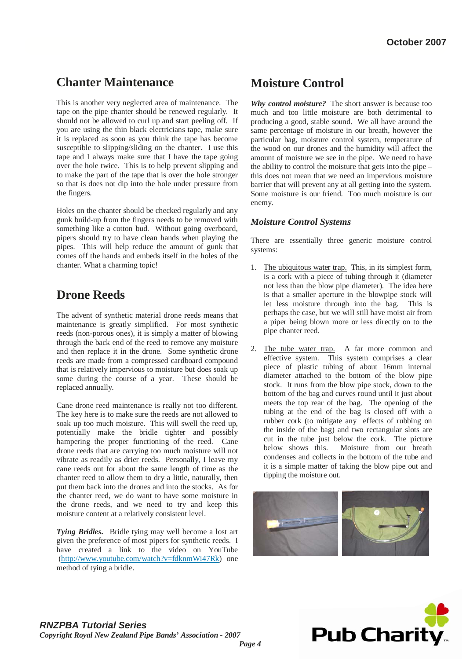## **Chanter Maintenance**

This is another very neglected area of maintenance. The tape on the pipe chanter should be renewed regularly. It should not be allowed to curl up and start peeling off. If you are using the thin black electricians tape, make sure it is replaced as soon as you think the tape has become susceptible to slipping/sliding on the chanter. I use this tape and I always make sure that I have the tape going over the hole twice. This is to help prevent slipping and to make the part of the tape that is over the hole stronger so that is does not dip into the hole under pressure from the fingers.

Holes on the chanter should be checked regularly and any gunk build-up from the fingers needs to be removed with something like a cotton bud. Without going overboard, pipers should try to have clean hands when playing the pipes. This will help reduce the amount of gunk that comes off the hands and embeds itself in the holes of the chanter. What a charming topic!

## **Drone Reeds**

The advent of synthetic material drone reeds means that maintenance is greatly simplified. For most synthetic reeds (non-porous ones), it is simply a matter of blowing through the back end of the reed to remove any moisture and then replace it in the drone. Some synthetic drone reeds are made from a compressed cardboard compound that is relatively impervious to moisture but does soak up some during the course of a year. These should be replaced annually.

Cane drone reed maintenance is really not too different. The key here is to make sure the reeds are not allowed to soak up too much moisture. This will swell the reed up, potentially make the bridle tighter and possibly hampering the proper functioning of the reed. Cane drone reeds that are carrying too much moisture will not vibrate as readily as drier reeds. Personally, I leave my cane reeds out for about the same length of time as the chanter reed to allow them to dry a little, naturally, then put them back into the drones and into the stocks. As for the chanter reed, we do want to have some moisture in the drone reeds, and we need to try and keep this moisture content at a relatively consistent level.

*Tying Bridles***.** Bridle tying may well become a lost art given the preference of most pipers for synthetic reeds. I have created a link to the video on YouTube (http://www.youtube.com/watch?v=fdknmWi47Rk) one method of tying a bridle.

## **Moisture Control**

*Why control moisture?* The short answer is because too much and too little moisture are both detrimental to producing a good, stable sound. We all have around the same percentage of moisture in our breath, however the particular bag, moisture control system, temperature of the wood on our drones and the humidity will affect the amount of moisture we see in the pipe. We need to have the ability to control the moisture that gets into the pipe – this does not mean that we need an impervious moisture barrier that will prevent any at all getting into the system. Some moisture is our friend. Too much moisture is our enemy.

#### *Moisture Control Systems*

There are essentially three generic moisture control systems:

- 1. The ubiquitous water trap. This, in its simplest form, is a cork with a piece of tubing through it (diameter not less than the blow pipe diameter). The idea here is that a smaller aperture in the blowpipe stock will let less moisture through into the bag. This is perhaps the case, but we will still have moist air from a piper being blown more or less directly on to the pipe chanter reed.
- 2. The tube water trap. A far more common and effective system. This system comprises a clear piece of plastic tubing of about 16mm internal diameter attached to the bottom of the blow pipe stock. It runs from the blow pipe stock, down to the bottom of the bag and curves round until it just about meets the top rear of the bag. The opening of the tubing at the end of the bag is closed off with a rubber cork (to mitigate any effects of rubbing on the inside of the bag) and two rectangular slots are cut in the tube just below the cork. The picture below shows this. Moisture from our breath condenses and collects in the bottom of the tube and it is a simple matter of taking the blow pipe out and tipping the moisture out.